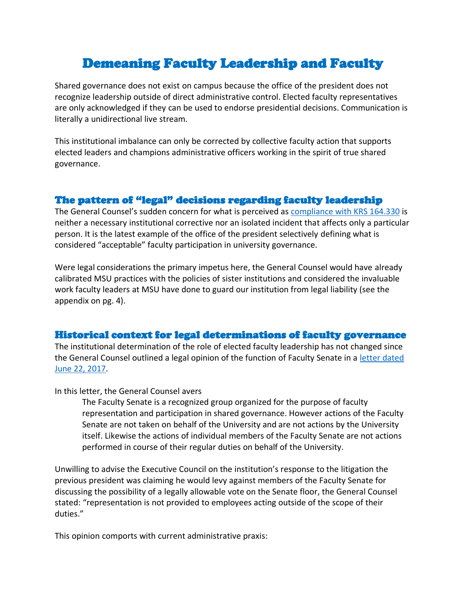# Demeaning Faculty Leadership and Faculty

Shared governance does not exist on campus because the office of the president does not recognize leadership outside of direct administrative control. Elected faculty representatives are only acknowledged if they can be used to endorse presidential decisions. Communication is literally a unidirectional live stream.

This institutional imbalance can only be corrected by collective faculty action that supports elected leaders and champions administrative officers working in the spirit of true shared governance.

## The pattern of "legal" decisions regarding faculty leadership

The General Counsel's sudden concern for what is perceived as [compliance with KRS 164.330](https://acrobat.adobe.com/link/track?uri=urn:aaid:scds:US:f0019b75-c9a4-32b8-80cf-8e6247304779) is neither a necessary institutional corrective nor an isolated incident that affects only a particular person. It is the latest example of the office of the president selectively defining what is considered "acceptable" faculty participation in university governance.

Were legal considerations the primary impetus here, the General Counsel would have already calibrated MSU practices with the policies of sister institutions and considered the invaluable work faculty leaders at MSU have done to guard our institution from legal liability (see the appendix on pg. 4).

# Historical context for legal determinations of faculty governance

The institutional determination of the role of elected faculty leadership has not changed since the General Counsel outlined a legal opinion of the function of Faculty Senate in a [letter dated](https://acrobat.adobe.com/link/track?uri=urn:aaid:scds:US:d62b7e7e-fd04-3b23-b0ff-dec0ab28cb1f)  [June 22, 2017.](https://acrobat.adobe.com/link/track?uri=urn:aaid:scds:US:d62b7e7e-fd04-3b23-b0ff-dec0ab28cb1f)

#### In this letter, the General Counsel avers

The Faculty Senate is a recognized group organized for the purpose of faculty representation and participation in shared governance. However actions of the Faculty Senate are not taken on behalf of the University and are not actions by the University itself. Likewise the actions of individual members of the Faculty Senate are not actions performed in course of their regular duties on behalf of the University.

Unwilling to advise the Executive Council on the institution's response to the litigation the previous president was claiming he would levy against members of the Faculty Senate for discussing the possibility of a legally allowable vote on the Senate floor, the General Counsel stated: "representation is not provided to employees acting outside of the scope of their duties."

This opinion comports with current administrative praxis: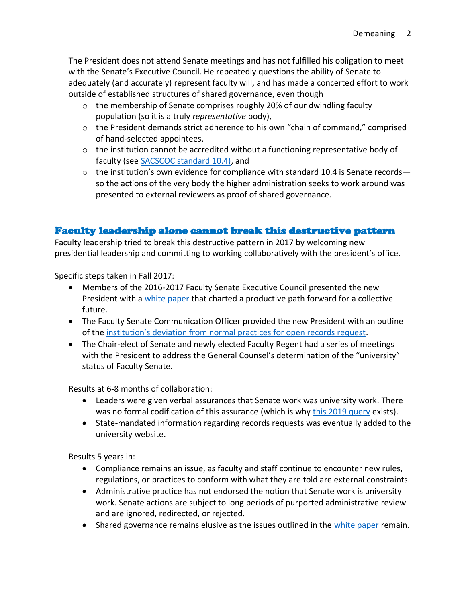The President does not attend Senate meetings and has not fulfilled his obligation to meet with the Senate's Executive Council. He repeatedly questions the ability of Senate to adequately (and accurately) represent faculty will, and has made a concerted effort to work outside of established structures of shared governance, even though

- $\circ$  the membership of Senate comprises roughly 20% of our dwindling faculty population (so it is a truly *representative* body),
- $\circ$  the President demands strict adherence to his own "chain of command," comprised of hand-selected appointees,
- $\circ$  the institution cannot be accredited without a functioning representative body of faculty (se[e SACSCOC standard 10.4\)](https://helgashub.com/what-you-need-to-know-about/), and
- $\circ$  the institution's own evidence for compliance with standard 10.4 is Senate records so the actions of the very body the higher administration seeks to work around was presented to external reviewers as proof of shared governance.

# Faculty leadership alone cannot break this destructive pattern

Faculty leadership tried to break this destructive pattern in 2017 by welcoming new presidential leadership and committing to working collaboratively with the president's office.

Specific steps taken in Fall 2017:

- Members of the 2016-2017 Faculty Senate Executive Council presented the new President with a [white paper](https://moreheadstateedu28844-my.sharepoint.com/:w:/g/personal/m0524777_moreheadstate_edu/EXRV5Nvw7QNBtK6IZ-X2f1EBIj45L6yc9zEq7riAwu_kdw?e=k7ll8T) that charted a productive path forward for a collective future.
- The Faculty Senate Communication Officer provided the new President with an outline of the [institution's deviation from normal practices for open records request](https://acrobat.adobe.com/link/track?uri=urn:aaid:scds:US:2a79f988-079c-3d9d-a73a-f75ba9295785).
- The Chair-elect of Senate and newly elected Faculty Regent had a series of meetings with the President to address the General Counsel's determination of the "university" status of Faculty Senate.

Results at 6-8 months of collaboration:

- Leaders were given verbal assurances that Senate work was university work. There was no formal codification of this assurance (which is why [this 2019 query](https://acrobat.adobe.com/link/track?uri=urn:aaid:scds:US:99081303-4611-394c-9a3a-b2c2dc61c21f) exists).
- State-mandated information regarding records requests was eventually added to the university website.

Results 5 years in:

- Compliance remains an issue, as faculty and staff continue to encounter new rules, regulations, or practices to conform with what they are told are external constraints.
- Administrative practice has not endorsed the notion that Senate work is university work. Senate actions are subject to long periods of purported administrative review and are ignored, redirected, or rejected.
- Shared governance remains elusive as the issues outlined in the [white paper](https://moreheadstateedu28844-my.sharepoint.com/:w:/g/personal/m0524777_moreheadstate_edu/EXRV5Nvw7QNBtK6IZ-X2f1EBIj45L6yc9zEq7riAwu_kdw?e=k7ll8T) remain.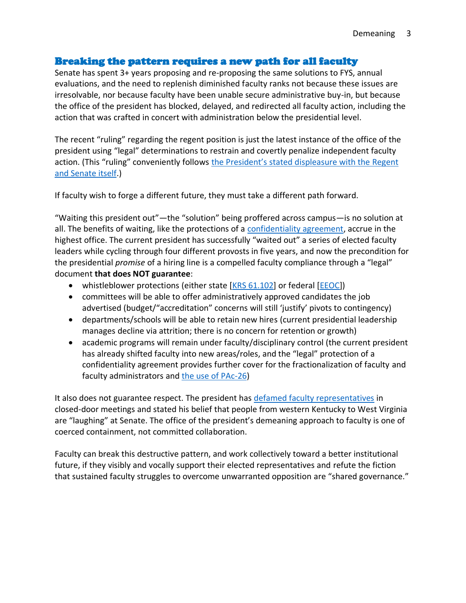### Breaking the pattern requires a new path for all faculty

Senate has spent 3+ years proposing and re-proposing the same solutions to FYS, annual evaluations, and the need to replenish diminished faculty ranks not because these issues are irresolvable, nor because faculty have been unable secure administrative buy-in, but because the office of the president has blocked, delayed, and redirected all faculty action, including the action that was crafted in concert with administration below the presidential level.

The recent "ruling" regarding the regent position is just the latest instance of the office of the president using "legal" determinations to restrain and covertly penalize independent faculty action. (This "ruling" conveniently follows the President's stated d[ispleasure with the Regent](https://acrobat.adobe.com/link/track?uri=urn:aaid:scds:US:eaea67ac-3d46-36c3-a5db-eb0158d94542)  [and Senate itself.](https://acrobat.adobe.com/link/track?uri=urn:aaid:scds:US:eaea67ac-3d46-36c3-a5db-eb0158d94542))

If faculty wish to forge a different future, they must take a different path forward.

"Waiting this president out"—the "solution" being proffered across campus—is no solution at all. The benefits of waiting, like the protections of a [confidentiality agreement,](https://acrobat.adobe.com/link/track?uri=urn:aaid:scds:US:ae69d3de-d0b1-4d4b-a1da-ecbdfead8eb4) accrue in the highest office. The current president has successfully "waited out" a series of elected faculty leaders while cycling through four different provosts in five years, and now the precondition for the presidential *promise* of a hiring line is a compelled faculty compliance through a "legal" document **that does NOT guarantee**:

- whistleblower protections (either state [\[KRS 61.102\]](https://apps.legislature.ky.gov/law/statutes/statute.aspx?id=40158) or federal [\[EEOC\]](https://oig.eeoc.gov/whistleblower-resources))
- committees will be able to offer administratively approved candidates the job advertised (budget/"accreditation" concerns will still 'justify' pivots to contingency)
- departments/schools will be able to retain new hires (current presidential leadership manages decline via attrition; there is no concern for retention or growth)
- academic programs will remain under faculty/disciplinary control (the current president has already shifted faculty into new areas/roles, and the "legal" protection of a confidentiality agreement provides further cover for the fractionalization of faculty and faculty administrators and [the use of PAc-26\)](https://www.moreheadstate.edu/administration/human-resources/personnel-policies/msu-personnel-policies/pac-26-termination-of-faculty-for-cause,-financial)

It also does not guarantee respect. The president has [defamed faculty representatives](https://acrobat.adobe.com/link/track?uri=urn:aaid:scds:US:eaea67ac-3d46-36c3-a5db-eb0158d94542) in closed-door meetings and stated his belief that people from western Kentucky to West Virginia are "laughing" at Senate. The office of the president's demeaning approach to faculty is one of coerced containment, not committed collaboration.

Faculty can break this destructive pattern, and work collectively toward a better institutional future, if they visibly and vocally support their elected representatives and refute the fiction that sustained faculty struggles to overcome unwarranted opposition are "shared governance."